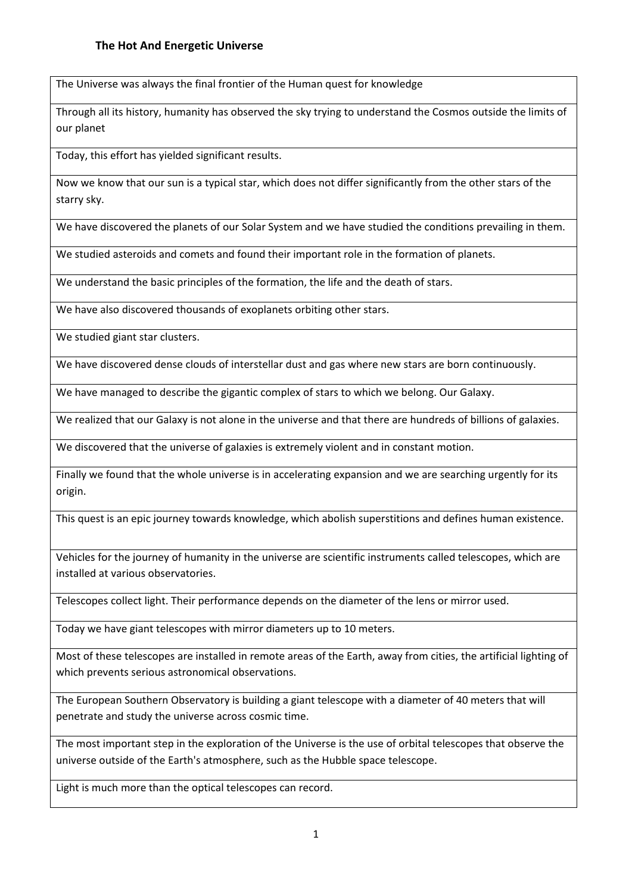The Universe was always the final frontier of the Human quest for knowledge

Through all its history, humanity has observed the sky trying to understand the Cosmos outside the limits of our planet

Today, this effort has yielded significant results.

Now we know that our sun is a typical star, which does not differ significantly from the other stars of the starry sky.

We have discovered the planets of our Solar System and we have studied the conditions prevailing in them.

We studied asteroids and comets and found their important role in the formation of planets.

We understand the basic principles of the formation, the life and the death of stars.

We have also discovered thousands of exoplanets orbiting other stars.

We studied giant star clusters.

We have discovered dense clouds of interstellar dust and gas where new stars are born continuously.

We have managed to describe the gigantic complex of stars to which we belong. Our Galaxy.

We realized that our Galaxy is not alone in the universe and that there are hundreds of billions of galaxies.

We discovered that the universe of galaxies is extremely violent and in constant motion.

Finally we found that the whole universe is in accelerating expansion and we are searching urgently for its origin.

This quest is an epic journey towards knowledge, which abolish superstitions and defines human existence.

Vehicles for the journey of humanity in the universe are scientific instruments called telescopes, which are installed at various observatories.

Telescopes collect light. Their performance depends on the diameter of the lens or mirror used.

Today we have giant telescopes with mirror diameters up to 10 meters.

Most of these telescopes are installed in remote areas of the Earth, away from cities, the artificial lighting of which prevents serious astronomical observations.

The European Southern Observatory is building a giant telescope with a diameter of 40 meters that will penetrate and study the universe across cosmic time.

The most important step in the exploration of the Universe is the use of orbital telescopes that observe the universe outside of the Earth's atmosphere, such as the Hubble space telescope.

Light is much more than the optical telescopes can record.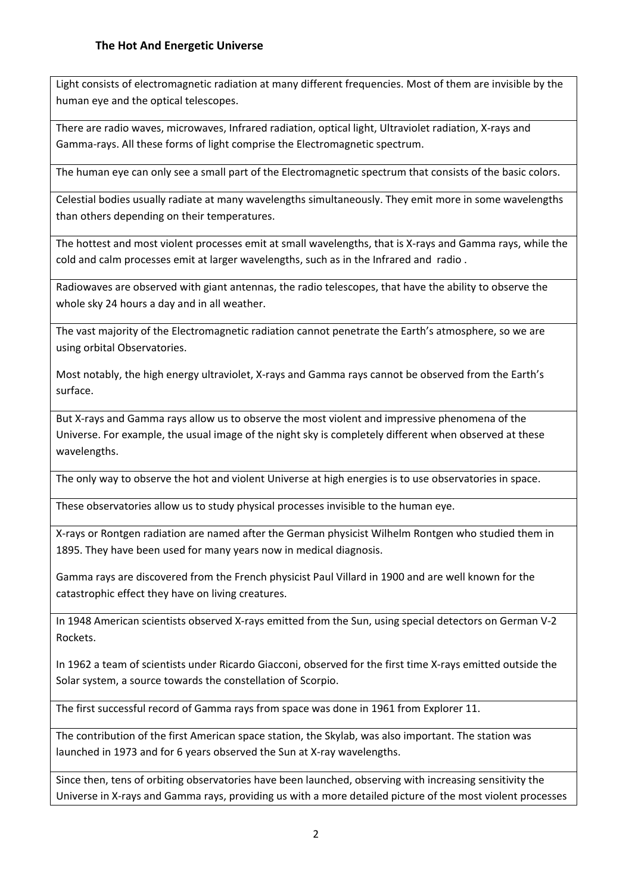Light consists of electromagnetic radiation at many different frequencies. Most of them are invisible by the human eye and the optical telescopes.

There are radio waves, microwaves, Infrared radiation, optical light, Ultraviolet radiation, X-rays and Gamma-rays. All these forms of light comprise the Electromagnetic spectrum.

The human eye can only see a small part of the Electromagnetic spectrum that consists of the basic colors.

Celestial bodies usually radiate at many wavelengths simultaneously. They emit more in some wavelengths than others depending on their temperatures.

The hottest and most violent processes emit at small wavelengths, that is X-rays and Gamma rays, while the cold and calm processes emit at larger wavelengths, such as in the Infrared and radio .

Radiowaves are observed with giant antennas, the radio telescopes, that have the ability to observe the whole sky 24 hours a day and in all weather.

The vast majority of the Electromagnetic radiation cannot penetrate the Earth's atmosphere, so we are using orbital Observatories.

Most notably, the high energy ultraviolet, X-rays and Gamma rays cannot be observed from the Earth's surface.

But X-rays and Gamma rays allow us to observe the most violent and impressive phenomena of the Universe. For example, the usual image of the night sky is completely different when observed at these wavelengths.

The only way to observe the hot and violent Universe at high energies is to use observatories in space.

These observatories allow us to study physical processes invisible to the human eye.

X-rays or Rontgen radiation are named after the German physicist Wilhelm Rontgen who studied them in 1895. They have been used for many years now in medical diagnosis.

Gamma rays are discovered from the French physicist Paul Villard in 1900 and are well known for the catastrophic effect they have on living creatures.

In 1948 American scientists observed X-rays emitted from the Sun, using special detectors on German V-2 Rockets.

In 1962 a team of scientists under Ricardo Giacconi, observed for the first time X-rays emitted outside the Solar system, a source towards the constellation of Scorpio.

The first successful record of Gamma rays from space was done in 1961 from Explorer 11.

The contribution of the first American space station, the Skylab, was also important. The station was launched in 1973 and for 6 years observed the Sun at X-ray wavelengths.

Since then, tens of orbiting observatories have been launched, observing with increasing sensitivity the Universe in X-rays and Gamma rays, providing us with a more detailed picture of the most violent processes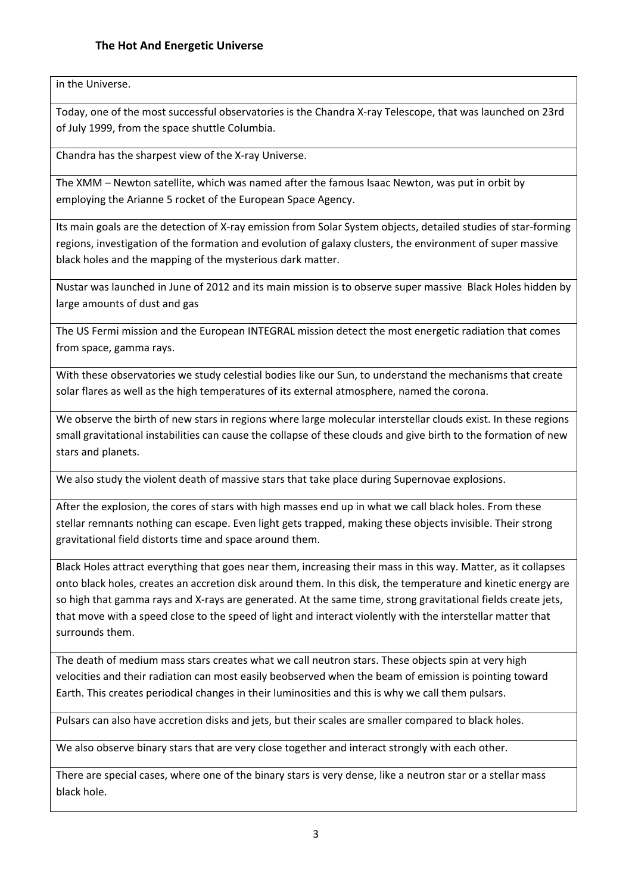in the Universe.

Today, one of the most successful observatories is the Chandra X-ray Telescope, that was launched on 23rd of July 1999, from the space shuttle Columbia.

Chandra has the sharpest view of the X-ray Universe.

The XMM – Newton satellite, which was named after the famous Isaac Newton, was put in orbit by employing the Arianne 5 rocket of the European Space Agency.

Its main goals are the detection of X-ray emission from Solar System objects, detailed studies of star-forming regions, investigation of the formation and evolution of galaxy clusters, the environment of super massive black holes and the mapping of the mysterious dark matter.

Nustar was launched in June of 2012 and its main mission is to observe super massive Black Holes hidden by large amounts of dust and gas

The US Fermi mission and the European INTEGRAL mission detect the most energetic radiation that comes from space, gamma rays.

With these observatories we study celestial bodies like our Sun, to understand the mechanisms that create solar flares as well as the high temperatures of its external atmosphere, named the corona.

We observe the birth of new stars in regions where large molecular interstellar clouds exist. In these regions small gravitational instabilities can cause the collapse of these clouds and give birth to the formation of new stars and planets.

We also study the violent death of massive stars that take place during Supernovae explosions.

After the explosion, the cores of stars with high masses end up in what we call black holes. From these stellar remnants nothing can escape. Even light gets trapped, making these objects invisible. Their strong gravitational field distorts time and space around them.

Black Holes attract everything that goes near them, increasing their mass in this way. Matter, as it collapses onto black holes, creates an accretion disk around them. In this disk, the temperature and kinetic energy are so high that gamma rays and X-rays are generated. At the same time, strong gravitational fields create jets, that move with a speed close to the speed of light and interact violently with the interstellar matter that surrounds them.

The death of medium mass stars creates what we call neutron stars. These objects spin at very high velocities and their radiation can most easily beobserved when the beam of emission is pointing toward Earth. This creates periodical changes in their luminosities and this is why we call them pulsars.

Pulsars can also have accretion disks and jets, but their scales are smaller compared to black holes.

We also observe binary stars that are very close together and interact strongly with each other.

There are special cases, where one of the binary stars is very dense, like a neutron star or a stellar mass black hole.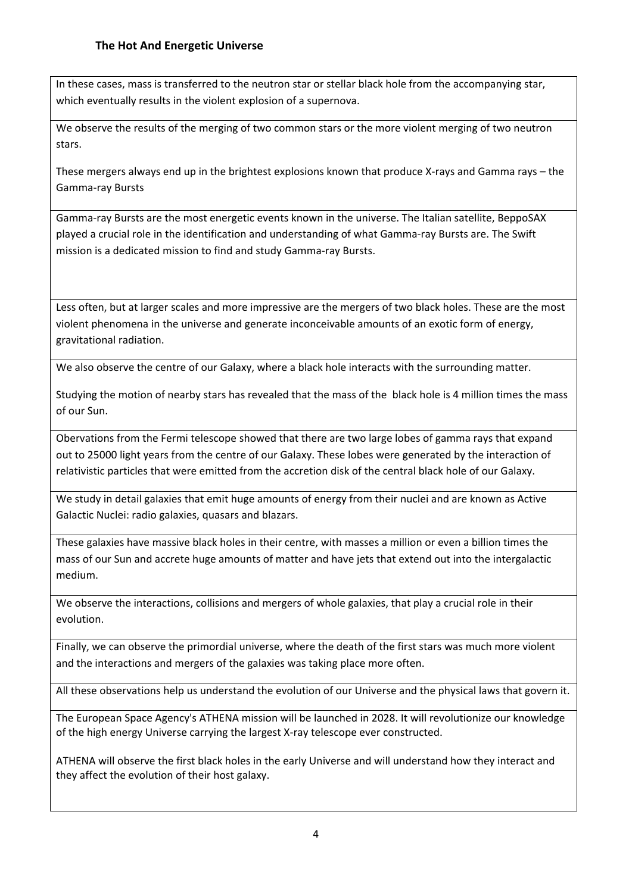In these cases, mass is transferred to the neutron star or stellar black hole from the accompanying star, which eventually results in the violent explosion of a supernova.

We observe the results of the merging of two common stars or the more violent merging of two neutron stars.

These mergers always end up in the brightest explosions known that produce X-rays and Gamma rays – the Gamma-ray Bursts

Gamma-ray Bursts are the most energetic events known in the universe. The Italian satellite, BeppoSAX played a crucial role in the identification and understanding of what Gamma-ray Bursts are. The Swift mission is a dedicated mission to find and study Gamma-ray Bursts.

Less often, but at larger scales and more impressive are the mergers of two black holes. These are the most violent phenomena in the universe and generate inconceivable amounts of an exotic form of energy, gravitational radiation.

We also observe the centre of our Galaxy, where a black hole interacts with the surrounding matter.

Studying the motion of nearby stars has revealed that the mass of the black hole is 4 million times the mass of our Sun.

Obervations from the Fermi telescope showed that there are two large lobes of gamma rays that expand out to 25000 light years from the centre of our Galaxy. These lobes were generated by the interaction of relativistic particles that were emitted from the accretion disk of the central black hole of our Galaxy.

We study in detail galaxies that emit huge amounts of energy from their nuclei and are known as Active Galactic Nuclei: radio galaxies, quasars and blazars.

These galaxies have massive black holes in their centre, with masses a million or even a billion times the mass of our Sun and accrete huge amounts of matter and have jets that extend out into the intergalactic medium.

We observe the interactions, collisions and mergers of whole galaxies, that play a crucial role in their evolution.

Finally, we can observe the primordial universe, where the death of the first stars was much more violent and the interactions and mergers of the galaxies was taking place more often.

All these observations help us understand the evolution of our Universe and the physical laws that govern it.

The European Space Agency's ATHENA mission will be launched in 2028. It will revolutionize our knowledge of the high energy Universe carrying the largest X-ray telescope ever constructed.

ATHENA will observe the first black holes in the early Universe and will understand how they interact and they affect the evolution of their host galaxy.